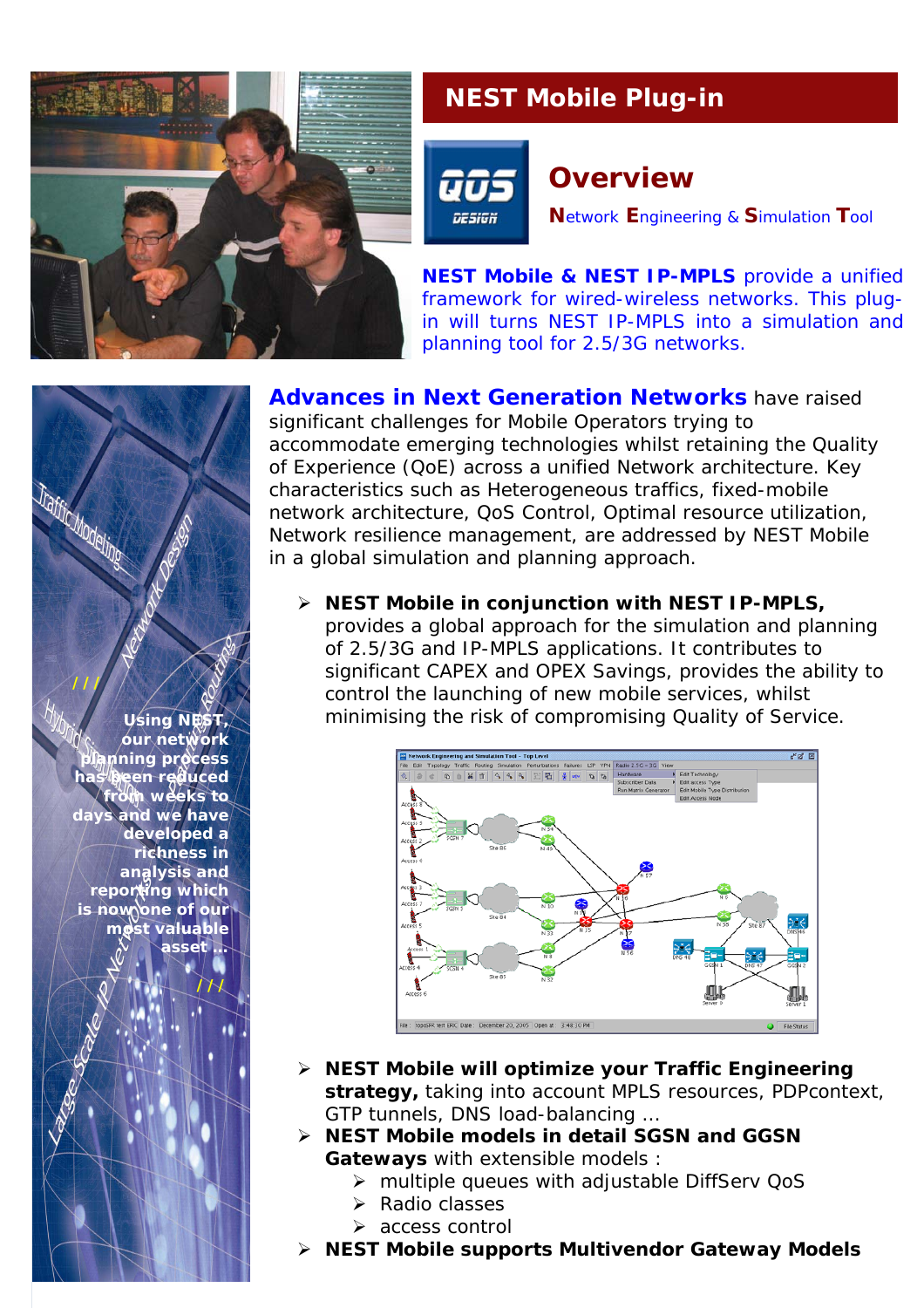

## **NEST Mobile Plug-in**



## **Overview**

**N**etwork **E**ngineering & **S**imulation **T**ool

**NEST Mobile & NEST IP-MPLS** provide a unified framework for wired-wireless networks. This plugin will turns NEST IP-MPLS into a simulation and planning tool for 2.5/3G networks.

*Advances in Next Generation Networks* have raised significant challenges for Mobile Operators trying to accommodate emerging technologies whilst retaining the Quality of Experience (QoE) across a unified Network architecture. Key characteristics such as Heterogeneous traffics, fixed-mobile network architecture, QoS Control, Optimal resource utilization, Network resilience management, are addressed by NEST Mobile in a global simulation and planning approach.

¾ **NEST Mobile in conjunction with NEST IP-MPLS,** provides a global approach for the simulation and planning of 2.5/3G and IP-MPLS applications. It contributes to significant CAPEX and OPEX Savings, provides the ability to control the launching of new mobile services, whilst minimising the risk of compromising Quality of Service.



- ¾ **NEST Mobile will optimize your Traffic Engineering strategy,** taking into account MPLS resources, PDPcontext, GTP tunnels, DNS load-balancing …
- ¾ **NEST Mobile models in detail SGSN and GGSN Gateways** with extensible models :
	- ¾ multiple queues with adjustable DiffServ QoS
	- $\triangleright$  Radio classes
	- $\triangleright$  access control
- ¾ **NEST Mobile supports Multivendor Gateway Models**

*Using NEST, our network planning process has been reduced from weeks to* and we have *developed a richness in analysis and reporting which is now one of our most valuable asset …*

**///**

**///** 

**Traffic Modelings**